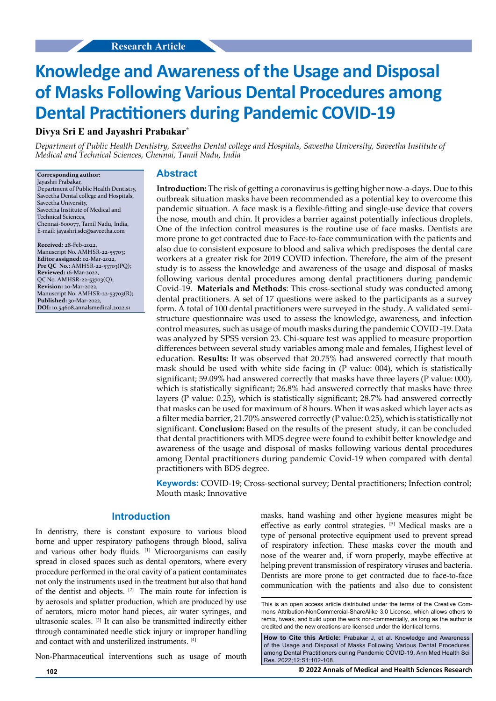# **Knowledge and Awareness of the Usage and Disposal of Masks Following Various Dental Procedures among Dental Practitioners during Pandemic COVID-19**

**Divya Sri E and Jayashri Prabakar\***

*Department of Public Health Dentistry, Saveetha Dental college and Hospitals, Saveetha University, Saveetha Institute of Medical and Technical Sciences, Chennai, Tamil Nadu, India*

#### **Corresponding author:** Jayashri Prabakar,

Department of Public Health Dentistry, Saveetha Dental college and Hospitals, Saveetha University, Saveetha Institute of Medical and Technical Sciences, Chennai-600077, Tamil Nadu, India, E-mail: jayashri.sdc@saveetha.com

**Received:** 28-Feb-2022, Manuscript No. AMHSR-22-55703; **Editor assigned:** 02-Mar-2022, **Pre QC No.:** AMHSR-22-53703(PQ); **Reviewed:** 16-Mar-2022, QC No. AMHSR-22-53703(Q); **Revision:** 20-Mar-2022, Manuscript No: AMHSR-22-53703(R); **Published:** 30-Mar-2022, **DOI:** 10.54608.annalsmedical.2022.s1

#### **Abstract**

**Introduction:** The risk of getting a coronavirus is getting higher now-a-days. Due to this outbreak situation masks have been recommended as a potential key to overcome this pandemic situation. A face mask is a flexible-fitting and single-use device that covers the nose, mouth and chin. It provides a barrier against potentially infectious droplets. One of the infection control measures is the routine use of face masks. Dentists are more prone to get contracted due to Face-to-face communication with the patients and also due to consistent exposure to blood and saliva which predisposes the dental care workers at a greater risk for 2019 COVID infection. Therefore, the aim of the present study is to assess the knowledge and awareness of the usage and disposal of masks following various dental procedures among dental practitioners during pandemic Covid-19. **Materials and Methods**: This cross-sectional study was conducted among dental practitioners. A set of 17 questions were asked to the participants as a survey form. A total of 100 dental practitioners were surveyed in the study. A validated semistructure questionnaire was used to assess the knowledge, awareness, and infection control measures, such as usage of mouth masks during the pandemic COVID -19. Data was analyzed by SPSS version 23. Chi-square test was applied to measure proportion differences between several study variables among male and females, Highest level of education. **Results:** It was observed that 20.75% had answered correctly that mouth mask should be used with white side facing in (P value: 004), which is statistically significant; 59.09% had answered correctly that masks have three layers (P value: 000), which is statistically significant; 26.8% had answered correctly that masks have three layers (P value: 0.25), which is statistically significant; 28.7% had answered correctly that masks can be used for maximum of 8 hours. When it was asked which layer acts as a filter media barrier, 21.70% answered correctly (P value: 0.25), which is statistically not significant. **Conclusion:** Based on the results of the present study, it can be concluded that dental practitioners with MDS degree were found to exhibit better knowledge and awareness of the usage and disposal of masks following various dental procedures among Dental practitioners during pandemic Covid-19 when compared with dental practitioners with BDS degree.

**Keywords:** COVID-19; Cross-sectional survey; Dental practitioners; Infection control; Mouth mask; Innovative

#### **Introduction**

In dentistry, there is constant exposure to various blood borne and upper respiratory pathogens through blood, saliva and various other body fluids. [1] Microorganisms can easily spread in closed spaces such as dental operators, where every procedure performed in the oral cavity of a patient contaminates not only the instruments used in the treatment but also that hand of the dentist and objects. [2] The main route for infection is by aerosols and splatter production, which are produced by use of aerators, micro motor hand pieces, air water syringes, and ultrasonic scales. [3] It can also be transmitted indirectly either through contaminated needle stick injury or improper handling and contact with and unsterilized instruments. [4]

Non-Pharmaceutical interventions such as usage of mouth

masks, hand washing and other hygiene measures might be effective as early control strategies. [5] Medical masks are a type of personal protective equipment used to prevent spread of respiratory infection. These masks cover the mouth and nose of the wearer and, if worn properly, maybe effective at helping prevent transmission of respiratory viruses and bacteria. Dentists are more prone to get contracted due to face-to-face communication with the patients and also due to consistent

This is an open access article distributed under the terms of the Creative Commons Attribution‑NonCommercial‑ShareAlike 3.0 License, which allows others to remix, tweak, and build upon the work non‑commercially, as long as the author is credited and the new creations are licensed under the identical terms.

**How to Cite this Article:** Prabakar J, et al. Knowledge and Awareness of the Usage and Disposal of Masks Following Various Dental Procedures among Dental Practitioners during Pandemic COVID-19. Ann Med Health Sci Res. 2022;12:S1:102-108.

**102 © 2022 Annals of Medical and Health Sciences Research**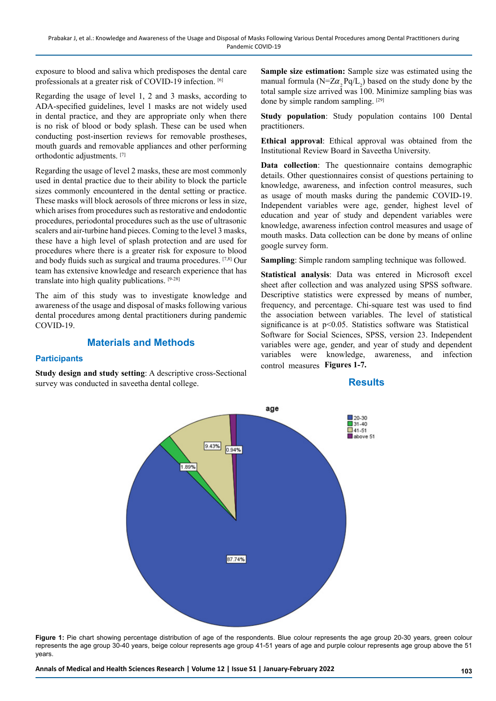exposure to blood and saliva which predisposes the dental care professionals at a greater risk of COVID-19 infection. [6]

Regarding the usage of level 1, 2 and 3 masks, according to ADA-specified guidelines, level 1 masks are not widely used in dental practice, and they are appropriate only when there is no risk of blood or body splash. These can be used when conducting post-insertion reviews for removable prostheses, mouth guards and removable appliances and other performing orthodontic adjustments. [7]

Regarding the usage of level 2 masks, these are most commonly used in dental practice due to their ability to block the particle sizes commonly encountered in the dental setting or practice. These masks will block aerosols of three microns or less in size, which arises from procedures such as restorative and endodontic procedures, periodontal procedures such as the use of ultrasonic scalers and air-turbine hand pieces. Coming to the level 3 masks, these have a high level of splash protection and are used for procedures where there is a greater risk for exposure to blood and body fluids such as surgical and trauma procedures. [7,8] Our team has extensive knowledge and research experience that has translate into high quality publications. [9-28]

The aim of this study was to investigate knowledge and awareness of the usage and disposal of masks following various dental procedures among dental practitioners during pandemic COVID-19.

## **Materials and Methods**

#### **Participants**

**Study design and study setting**: A descriptive cross-Sectional survey was conducted in saveetha dental college.

**Sample size estimation:** Sample size was estimated using the manual formula ( $N = Z\alpha_{2}$  Pq/L<sub>2</sub>) based on the study done by the total sample size arrived was 100. Minimize sampling bias was done by simple random sampling. [29]

**Study population**: Study population contains 100 Dental practitioners.

**Ethical approval**: Ethical approval was obtained from the Institutional Review Board in Saveetha University.

**Data collection**: The questionnaire contains demographic details. Other questionnaires consist of questions pertaining to knowledge, awareness, and infection control measures, such as usage of mouth masks during the pandemic COVID-19. Independent variables were age, gender, highest level of education and year of study and dependent variables were knowledge, awareness infection control measures and usage of mouth masks. Data collection can be done by means of online google survey form.

**Sampling**: Simple random sampling technique was followed.

**Statistical analysis**: Data was entered in Microsoft excel sheet after collection and was analyzed using SPSS software. Descriptive statistics were expressed by means of number, frequency, and percentage. Chi-square test was used to find the association between variables. The level of statistical significance is at  $p<0.05$ . Statistics software was Statistical Software for Social Sciences, SPSS, version 23. Independent variables were age, gender, and year of study and dependent variables were knowledge, awareness, and infection control measures **Figures 1-7.**

#### **Results**



**Figure 1:** Pie chart showing percentage distribution of age of the respondents. Blue colour represents the age group 20-30 years, green colour represents the age group 30-40 years, beige colour represents age group 41-51 years of age and purple colour represents age group above the 51 years.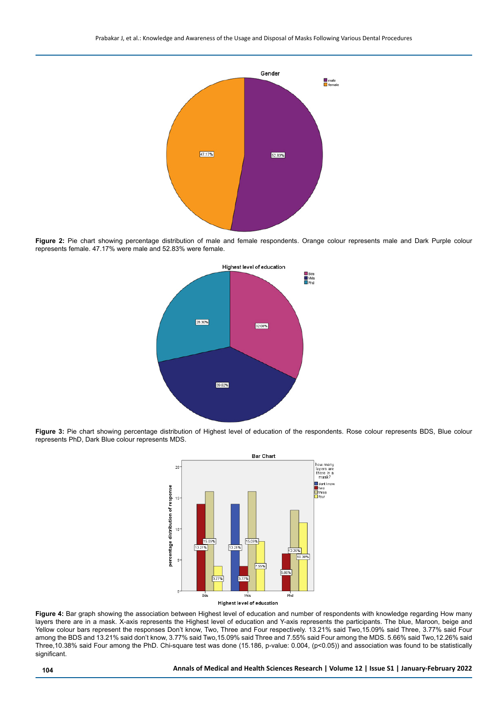

Figure 2: Pie chart showing percentage distribution of male and female respondents. Orange colour represents male and Dark Purple colour represents female. 47.17% were male and 52.83% were female.



**Figure 3:** Pie chart showing percentage distribution of Highest level of education of the respondents. Rose colour represents BDS, Blue colour represents PhD, Dark Blue colour represents MDS.



**Figure 4:** Bar graph showing the association between Highest level of education and number of respondents with knowledge regarding How many layers there are in a mask. X-axis represents the Highest level of education and Y-axis represents the participants. The blue, Maroon, beige and Yellow colour bars represent the responses Don't know, Two, Three and Four respectively. 13.21% said Two,15.09% said Three, 3.77% said Four among the BDS and 13.21% said don't know, 3.77% said Two,15.09% said Three and 7.55% said Four among the MDS. 5.66% said Two,12.26% said Three,10.38% said Four among the PhD. Chi-square test was done (15.186, p-value: 0.004, (p<0.05)) and association was found to be statistically significant.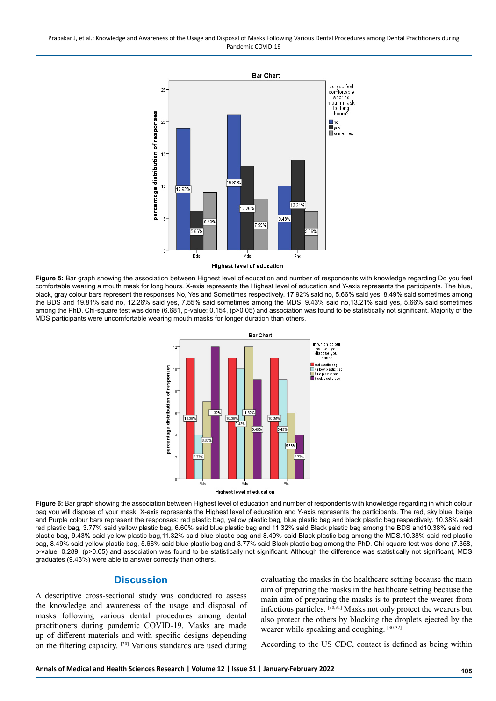Prabakar J, et al.: Knowledge and Awareness of the Usage and Disposal of Masks Following Various Dental Procedures among Dental Practitioners during Pandemic COVID-19

![](_page_3_Figure_1.jpeg)

**Figure 5:** Bar graph showing the association between Highest level of education and number of respondents with knowledge regarding Do you feel comfortable wearing a mouth mask for long hours. X-axis represents the Highest level of education and Y-axis represents the participants. The blue, black, gray colour bars represent the responses No, Yes and Sometimes respectively. 17.92% said no, 5.66% said yes, 8.49% said sometimes among the BDS and 19.81% said no, 12.26% said yes, 7.55% said sometimes among the MDS. 9.43% said no,13.21% said yes, 5.66% said sometimes among the PhD. Chi-square test was done (6.681, p-value: 0.154, (p>0.05) and association was found to be statistically not significant. Majority of the MDS participants were uncomfortable wearing mouth masks for longer duration than others.

![](_page_3_Figure_3.jpeg)

**Figure 6:** Bar graph showing the association between Highest level of education and number of respondents with knowledge regarding in which colour bag you will dispose of your mask. X-axis represents the Highest level of education and Y-axis represents the participants. The red, sky blue, beige and Purple colour bars represent the responses: red plastic bag, yellow plastic bag, blue plastic bag and black plastic bag respectively. 10.38% said red plastic bag, 3.77% said yellow plastic bag, 6.60% said blue plastic bag and 11.32% said Black plastic bag among the BDS and10.38% said red plastic bag, 9.43% said yellow plastic bag,11.32% said blue plastic bag and 8.49% said Black plastic bag among the MDS.10.38% said red plastic bag, 8.49% said yellow plastic bag, 5.66% said blue plastic bag and 3.77% said Black plastic bag among the PhD. Chi-square test was done (7.358, p-value: 0.289, (p>0.05) and association was found to be statistically not significant. Although the difference was statistically not significant, MDS graduates (9.43%) were able to answer correctly than others.

#### **Discussion**

A descriptive cross-sectional study was conducted to assess the knowledge and awareness of the usage and disposal of masks following various dental procedures among dental practitioners during pandemic COVID-19. Masks are made up of different materials and with specific designs depending on the filtering capacity. [30] Various standards are used during

evaluating the masks in the healthcare setting because the main aim of preparing the masks in the healthcare setting because the main aim of preparing the masks is to protect the wearer from infectious particles. [30,31] Masks not only protect the wearers but also protect the others by blocking the droplets ejected by the wearer while speaking and coughing. [30-32]

According to the US CDC, contact is defined as being within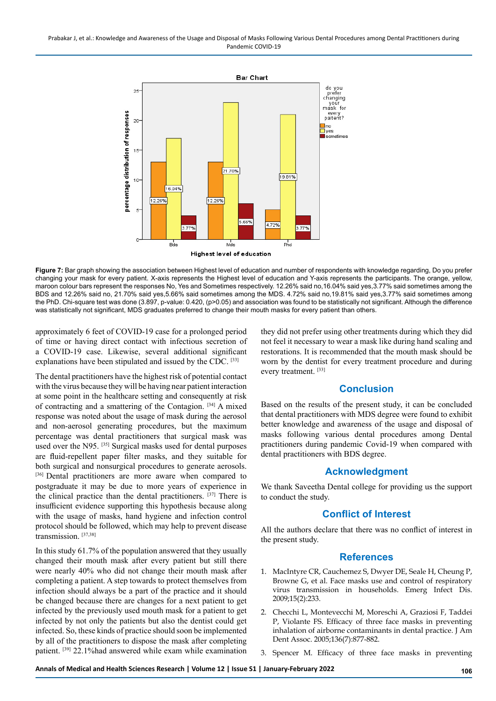![](_page_4_Figure_1.jpeg)

**Figure 7:** Bar graph showing the association between Highest level of education and number of respondents with knowledge regarding, Do you prefer changing your mask for every patient. X-axis represents the Highest level of education and Y-axis represents the participants. The orange, yellow, maroon colour bars represent the responses No, Yes and Sometimes respectively. 12.26% said no,16.04% said yes,3.77% said sometimes among the BDS and 12.26% said no, 21.70% said yes,5.66% said sometimes among the MDS. 4.72% said no,19.81% said yes,3.77% said sometimes among the PhD. Chi-square test was done (3.897, p-value: 0.420, (p>0.05) and association was found to be statistically not significant. Although the difference was statistically not significant, MDS graduates preferred to change their mouth masks for every patient than others.

approximately 6 feet of COVID-19 case for a prolonged period of time or having direct contact with infectious secretion of a COVID-19 case. Likewise, several additional significant explanations have been stipulated and issued by the CDC. [33]

The dental practitioners have the highest risk of potential contact with the virus because they will be having near patient interaction at some point in the healthcare setting and consequently at risk of contracting and a smattering of the Contagion. [34] A mixed response was noted about the usage of mask during the aerosol and non-aerosol generating procedures, but the maximum percentage was dental practitioners that surgical mask was used over the N95. [35] Surgical masks used for dental purposes are fluid-repellent paper filter masks, and they suitable for both surgical and nonsurgical procedures to generate aerosols. [36] Dental practitioners are more aware when compared to postgraduate it may be due to more years of experience in the clinical practice than the dental practitioners. [37] There is insufficient evidence supporting this hypothesis because along with the usage of masks, hand hygiene and infection control protocol should be followed, which may help to prevent disease transmission. [37,38]

In this study 61.7% of the population answered that they usually changed their mouth mask after every patient but still there were nearly 40% who did not change their mouth mask after completing a patient. A step towards to protect themselves from infection should always be a part of the practice and it should be changed because there are changes for a next patient to get infected by the previously used mouth mask for a patient to get infected by not only the patients but also the dentist could get infected. So, these kinds of practice should soon be implemented by all of the practitioners to dispose the mask after completing patient. [39] 22.1%had answered while exam while examination

they did not prefer using other treatments during which they did not feel it necessary to wear a mask like during hand scaling and restorations. It is recommended that the mouth mask should be worn by the dentist for every treatment procedure and during every treatment. [33]

# **Conclusion**

Based on the results of the present study, it can be concluded that dental practitioners with MDS degree were found to exhibit better knowledge and awareness of the usage and disposal of masks following various dental procedures among Dental practitioners during pandemic Covid-19 when compared with dental practitioners with BDS degree.

### **Acknowledgment**

We thank Saveetha Dental college for providing us the support to conduct the study.

# **Conflict of Interest**

All the authors declare that there was no conflict of interest in the present study.

### **References**

- 1. MacIntyre CR, Cauchemez S, Dwyer DE, Seale H, Cheung P, Browne G, et al. [Face masks use and control of respiratory](https://www.ncbi.nlm.nih.gov/pmc/articles/PMC2662657/)  [virus transmission in households.](https://www.ncbi.nlm.nih.gov/pmc/articles/PMC2662657/) Emerg Infect Dis. 2009;15(2):233.
- 2. Checchi L, Montevecchi M, Moreschi A, Graziosi F, Taddei P, Violante FS. [Efficacy of three face masks in preventing](https://www.sciencedirect.com/science/article/pii/S0002817714630555)  [inhalation of airborne contaminants in dental practice.](https://www.sciencedirect.com/science/article/pii/S0002817714630555) J Am Dent Assoc. 2005;136(7):877-882.
- 3. Spencer M. [Efficacy of three face masks in preventing](https://www.sciencedirect.com/science/article/pii/S0002817714630555)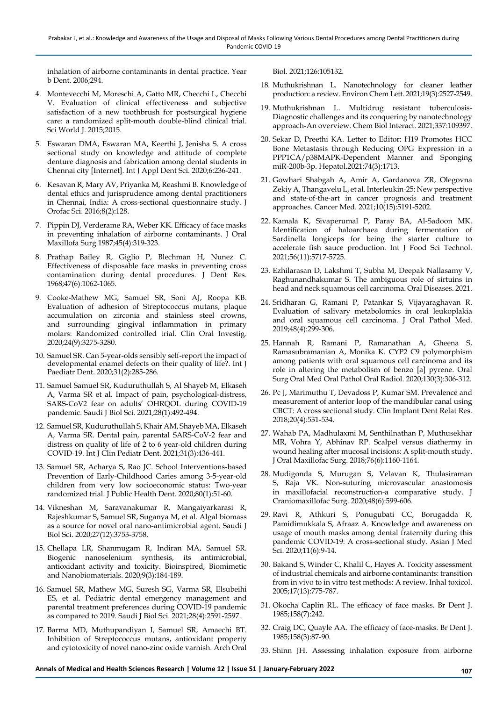[inhalation of airborne contaminants in dental practice.](https://www.sciencedirect.com/science/article/pii/S0002817714630555) Year b Dent. 2006;294.

- 4. Montevecchi M, Moreschi A, Gatto MR, Checchi L, Checchi V. [Evaluation of clinical effectiveness and subjective](https://www.hindawi.com/journals/tswj/2015/828794/) [satisfaction of a new toothbrush for postsurgical hygiene](https://www.hindawi.com/journals/tswj/2015/828794/) [care: a randomized split-mouth double-blind clinical trial.](https://www.hindawi.com/journals/tswj/2015/828794/) Sci World J. 2015;2015.
- 5. Eswaran DMA, Eswaran MA, Keerthi J, Jenisha S. [A cross](https://www.oraljournal.com/archives/2020/6/4/D/6-4-25) [sectional study on knowledge and attitude of complete](https://www.oraljournal.com/archives/2020/6/4/D/6-4-25) [denture diagnosis and fabrication among dental students in](https://www.oraljournal.com/archives/2020/6/4/D/6-4-25) [Chennai city \[Internet\].](https://www.oraljournal.com/archives/2020/6/4/D/6-4-25) Int J Appl Dent Sci. 2020;6:236-241.
- 6. Kesavan R, Mary AV, Priyanka M, Reashmi B. [Knowledge of](https://jofs.in/article.asp?issn=0975-8844;year=2016;volume=8;issue=2;spage=128;epage=134;aulast=Kesavan) [dental ethics and jurisprudence among dental practitioners](https://jofs.in/article.asp?issn=0975-8844;year=2016;volume=8;issue=2;spage=128;epage=134;aulast=Kesavan) [in Chennai, India: A cross-sectional questionnaire study](https://jofs.in/article.asp?issn=0975-8844;year=2016;volume=8;issue=2;spage=128;epage=134;aulast=Kesavan). J Orofac Sci. 2016;8(2):128.
- 7. Pippin DJ, Verderame RA, Weber KK. [Efficacy of face masks](https://www.sciencedirect.com/science/article/abs/pii/0278239187903521) [in preventing inhalation of airborne contaminants.](https://www.sciencedirect.com/science/article/abs/pii/0278239187903521) J Oral Maxillofa Surg 1987;45(4):319-323.
- 8. Prathap Bailey R, Giglio P, Blechman H, Nunez C[.](https://journals.sagepub.com/doi/abs/10.1177/00220345680470061001) [Effectiveness of disposable face masks in preventing cross](https://journals.sagepub.com/doi/abs/10.1177/00220345680470061001) [contamination during dental procedures](https://journals.sagepub.com/doi/abs/10.1177/00220345680470061001). J Dent Res. 1968;47(6):1062-1065.
- 9. Cooke-Mathew MG, Samuel SR, Soni AJ, Roopa KB. [Evaluation of adhesion of Streptococcus mutans, plaque](https://link.springer.com/article/10.1007/s00784-020-03204-9) [accumulation on zirconia and stainless steel crowns,](https://link.springer.com/article/10.1007/s00784-020-03204-9) [and surrounding gingival inflammation in primary](https://link.springer.com/article/10.1007/s00784-020-03204-9) [molars: Randomized controlled trial.](https://link.springer.com/article/10.1007/s00784-020-03204-9) Clin Oral Investig. 2020;24(9):3275-3280.
- 10. Samuel SR. Can 5-year-olds sensibly self-report the impact of developmental enamel defects on their quality of life?. Int J Paediatr Dent. 2020;31(2):285-286.
- 11. Samuel Samuel SR, Kuduruthullah S, Al Shayeb M, Elkaseh A, Varma SR et al. [Impact of pain, psychological-distress,](https://www.sciencedirect.com/science/article/pii/S1319562X20305179) [SARS-CoV2 fear on adults' OHRQOL during COVID-19](https://www.sciencedirect.com/science/article/pii/S1319562X20305179) [pandemic](https://www.sciencedirect.com/science/article/pii/S1319562X20305179). Saudi J Biol Sci. 2021;28(1):492-494.
- 12. Samuel SR, Kuduruthullah S, Khair AM, Shayeb MA, Elkaseh A, Varma SR. [Dental pain, parental SARS](https://onlinelibrary.wiley.com/doi/full/10.1111/ipd.12757)‐CoV‐2 fear and [distress on quality of life of 2 to 6 year](https://onlinelibrary.wiley.com/doi/full/10.1111/ipd.12757)‐old children during [COVID](https://onlinelibrary.wiley.com/doi/full/10.1111/ipd.12757)‐19. Int J Clin Pediatr Dent. 2021;31(3):436-441.
- 13. Samuel SR, Acharya S, Rao JC. [School Interventions-based](https://onlinelibrary.wiley.com/doi/abs/10.1111/jphd.12348) [Prevention of Early-Childhood Caries among 3-5-year-old](https://onlinelibrary.wiley.com/doi/abs/10.1111/jphd.12348) [children from very low socioeconomic status: Two](https://onlinelibrary.wiley.com/doi/abs/10.1111/jphd.12348)‐year [randomized trial.](https://onlinelibrary.wiley.com/doi/abs/10.1111/jphd.12348) J Public Health Dent. 2020;80(1):51-60.
- 14. Vikneshan M, Saravanakumar R, Mangaiyarkarasi R, Rajeshkumar S, Samuel SR, Suganya M, et al. [Algal biomass](https://www.sciencedirect.com/science/article/pii/S1319562X20303697) [as a source for novel oral nano-antimicrobial agent.](https://www.sciencedirect.com/science/article/pii/S1319562X20303697) Saudi J Biol Sci. 2020;27(12):3753-3758.
- 15. Chellapa LR, Shanmugam R, Indiran MA, Samuel SR. [Biogenic nanoselenium synthesis, its antimicrobial,](https://www.icevirtuallibrary.com/doi/abs/10.1680/jbibn.19.00054) [antioxidant activity and toxicity.](https://www.icevirtuallibrary.com/doi/abs/10.1680/jbibn.19.00054) Bioinspired, Biomimetic and Nanobiomaterials. 2020;9(3):184-189.
- 16. Samuel SR, Mathew MG, Suresh SG, Varma SR, Elsubeihi ES, et al[. Pediatric dental emergency management and](https://www.sciencedirect.com/science/article/pii/S1319562X21000735) [parental treatment preferences during COVID-19 pandemic](https://www.sciencedirect.com/science/article/pii/S1319562X21000735) [as compared to 2019.](https://www.sciencedirect.com/science/article/pii/S1319562X21000735) Saudi J Biol Sci. 2021;28(4):2591-2597.
- 17. Barma MD, Muthupandiyan I, Samuel SR, Amaechi BT. [Inhibition of Streptococcus mutans, antioxidant property](https://www.sciencedirect.com/science/article/abs/pii/S0003996921000959) [and cytotoxicity of novel nano-zinc oxide varnish](https://www.sciencedirect.com/science/article/abs/pii/S0003996921000959). Arch Oral

Biol. 2021;126:105132.

- 18. Muthukrishnan L. [Nanotechnology for cleaner leather](https://link.springer.com/article/10.1007/s10311-020-01172-w)  [production: a review.](https://link.springer.com/article/10.1007/s10311-020-01172-w) Environ Chem Lett. 2021;19(3):2527-2549.
- 19. Muthukrishnan L. [Multidrug resistant tuberculosis-](https://www.sciencedirect.com/science/article/pii/S0009279721000338)[Diagnostic challenges and its conquering by nanotechnology](https://www.sciencedirect.com/science/article/pii/S0009279721000338)  [approach-An overview.](https://www.sciencedirect.com/science/article/pii/S0009279721000338) Chem Biol Interact. 2021;337:109397.
- 20. Sekar D, Preethi KA. [Letter to Editor: H19 Promotes HCC](https://aasldpubs.onlinelibrary.wiley.com/doi/abs/10.1002/hep.31719)  [Bone Metastasis through Reducing OPG Expression in a](https://aasldpubs.onlinelibrary.wiley.com/doi/abs/10.1002/hep.31719)  [PPP1CA/p38MAPK-Dependent Manner and Sponging](https://aasldpubs.onlinelibrary.wiley.com/doi/abs/10.1002/hep.31719)  [miR-200b-3p](https://aasldpubs.onlinelibrary.wiley.com/doi/abs/10.1002/hep.31719). Hepatol.2021;74(3):1713.
- 21. Gowhari Shabgah A, Amir A, Gardanova ZR, Olegovna Zekiy A, Thangavelu L, et al. Interleukin‐[25: New perspective](https://onlinelibrary.wiley.com/doi/full/10.1002/cam4.4060)  and state‐of‐the‐[art in cancer prognosis and treatment](https://onlinelibrary.wiley.com/doi/full/10.1002/cam4.4060)  [approaches](https://onlinelibrary.wiley.com/doi/full/10.1002/cam4.4060). Cancer Med. 2021;10(15):5191-5202.
- 22. Kamala K, Sivaperumal P, Paray BA, Al‐Sadoon MK[.](https://ifst.onlinelibrary.wiley.com/doi/abs/10.1111/ijfs.15183)  [Identification of haloarchaea during fermentation of](https://ifst.onlinelibrary.wiley.com/doi/abs/10.1111/ijfs.15183)  [Sardinella longiceps for being the starter culture to](https://ifst.onlinelibrary.wiley.com/doi/abs/10.1111/ijfs.15183)  [accelerate fish sauce production](https://ifst.onlinelibrary.wiley.com/doi/abs/10.1111/ijfs.15183). Int J Food Sci Technol. 2021;56(11):5717-5725.
- 23. Ezhilarasan D, Lakshmi T, Subha M, Deepak Nallasamy V, Raghunandhakumar S. [The ambiguous role of sirtuins in](https://onlinelibrary.wiley.com/doi/abs/10.1111/odi.13798)  [head and neck squamous cell carcinoma. Oral Diseases.](https://onlinelibrary.wiley.com/doi/abs/10.1111/odi.13798) 2021.
- 24. Sridharan G, Ramani P, Patankar S, Vijayaraghavan R. [Evaluation of salivary metabolomics in oral leukoplakia](https://onlinelibrary.wiley.com/doi/abs/10.1111/jop.12835)  [and oral squamous cell carcinoma.](https://onlinelibrary.wiley.com/doi/abs/10.1111/jop.12835) J Oral Pathol Med. 2019;48(4):299-306.
- 25. Hannah R, Ramani P, Ramanathan A, Gheena S, Ramasubramanian A, Monika K. [CYP2 C9 polymorphism](https://www.sciencedirect.com/science/article/abs/pii/S2212440320310804)  [among patients with oral squamous cell carcinoma and its](https://www.sciencedirect.com/science/article/abs/pii/S2212440320310804)  [role in altering the metabolism of benzo \[a\] pyrene.](https://www.sciencedirect.com/science/article/abs/pii/S2212440320310804) Oral Surg Oral Med Oral Pathol Oral Radiol. 2020;130(3):306-312.
- 26. Pc J, Marimuthu T, Devadoss P, Kumar SM. [Prevalence and](https://europepmc.org/article/med/29624863)  [measurement of anterior loop of the mandibular canal using](https://europepmc.org/article/med/29624863)  [CBCT: A cross sectional study.](https://europepmc.org/article/med/29624863) Clin Implant Dent Relat Res. 2018;20(4):531-534.
- 27. Wahab PA, Madhulaxmi M, Senthilnathan P, Muthusekhar MR, Vohra Y, Abhinav RP. [Scalpel versus diathermy in](https://www.sciencedirect.com/science/article/abs/pii/S027823911731546X)  [wound healing after mucosal incisions: A split-mouth study.](https://www.sciencedirect.com/science/article/abs/pii/S027823911731546X) J Oral Maxillofac Surg. 2018;76(6):1160-1164.
- 28. Mudigonda S, Murugan S, Velavan K, Thulasiraman S, Raja VK. [Non-suturing microvascular anastomosis](https://www.sciencedirect.com/science/article/abs/pii/S1010518220301098)  [in maxillofacial reconstruction-a comparative study.](https://www.sciencedirect.com/science/article/abs/pii/S1010518220301098) J Craniomaxillofac Surg. 2020;48(6):599-606.
- 29. Ravi R, Athkuri S, Ponugubati CC, Borugadda R, Pamidimukkala S, Afraaz A. [Knowledge and awareness on](https://www.nepjol.info/index.php/AJMS/article/view/30706)  [usage of mouth masks among dental fraternity during this](https://www.nepjol.info/index.php/AJMS/article/view/30706)  [pandemic COVID-19: A cross-sectional study](https://www.nepjol.info/index.php/AJMS/article/view/30706). Asian J Med Sci. 2020;11(6):9-14.
- 30. Bakand S, Winder C, Khalil C, Hayes A. [Toxicity assessment](https://www.tandfonline.com/doi/abs/10.1080/08958370500225240)  [of industrial chemicals and airborne contaminants: transition](https://www.tandfonline.com/doi/abs/10.1080/08958370500225240)  [from in vivo to in vitro test methods: A review](https://www.tandfonline.com/doi/abs/10.1080/08958370500225240). Inhal toxicol. 2005;17(13):775-787.
- 31. Okocha Caplin RL. [The efficacy of face masks](https://europepmc.org/article/med/3857925). Br Dent J. 1985;158(7):242.
- 32. Craig DC, Quayle AA. [The efficacy of face-masks](https://pubmed.ncbi.nlm.nih.gov/3857919/). Br Dent J. 1985;158(3):87-90.
- 33. Shinn JH. [Assessing inhalation exposure from airborne](https://www.osti.gov/biblio/641115)